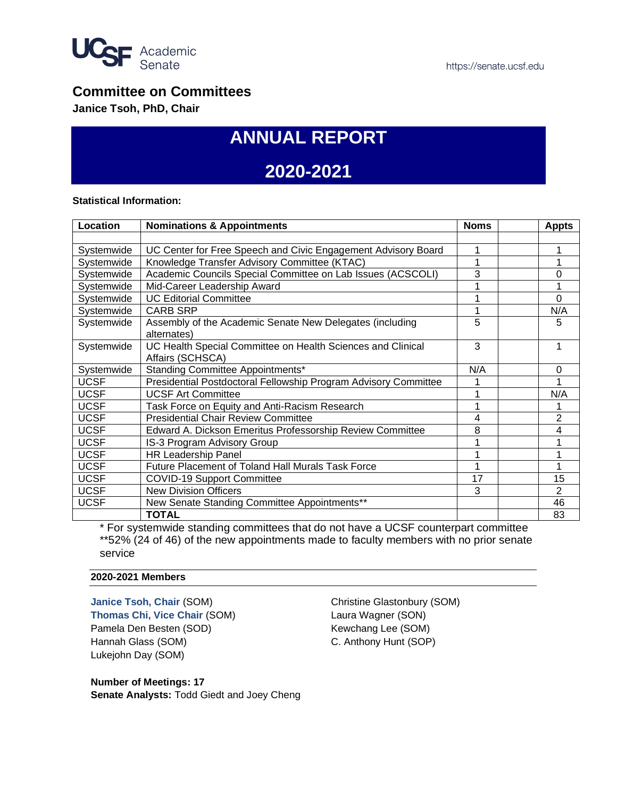

## **Committee on Committees**

**Janice Tsoh, PhD, Chair**

# **ANNUAL REPORT**

# **2020-2021**

#### **Statistical Information:**

| Location    | <b>Nominations &amp; Appointments</b>                           | <b>Noms</b> | <b>Appts</b> |
|-------------|-----------------------------------------------------------------|-------------|--------------|
|             |                                                                 |             |              |
| Systemwide  | UC Center for Free Speech and Civic Engagement Advisory Board   |             |              |
| Systemwide  | Knowledge Transfer Advisory Committee (KTAC)                    |             |              |
| Systemwide  | Academic Councils Special Committee on Lab Issues (ACSCOLI)     | 3           | 0            |
| Systemwide  | Mid-Career Leadership Award                                     |             |              |
| Systemwide  | <b>UC Editorial Committee</b>                                   |             | $\Omega$     |
| Systemwide  | <b>CARB SRP</b>                                                 |             | N/A          |
| Systemwide  | Assembly of the Academic Senate New Delegates (including        | 5           | 5            |
|             | alternates)                                                     |             |              |
| Systemwide  | UC Health Special Committee on Health Sciences and Clinical     | 3           |              |
|             | Affairs (SCHSCA)                                                |             |              |
| Systemwide  | <b>Standing Committee Appointments*</b>                         | N/A         | 0            |
| <b>UCSF</b> | Presidential Postdoctoral Fellowship Program Advisory Committee |             |              |
| <b>UCSF</b> | <b>UCSF Art Committee</b>                                       |             | N/A          |
| <b>UCSF</b> | Task Force on Equity and Anti-Racism Research                   |             |              |
| <b>UCSF</b> | <b>Presidential Chair Review Committee</b>                      | 4           | 2            |
| <b>UCSF</b> | Edward A. Dickson Emeritus Professorship Review Committee       | 8           | 4            |
| <b>UCSF</b> | <b>IS-3 Program Advisory Group</b>                              |             |              |
| <b>UCSF</b> | <b>HR Leadership Panel</b>                                      |             |              |
| <b>UCSF</b> | <b>Future Placement of Toland Hall Murals Task Force</b>        |             |              |
| <b>UCSF</b> | <b>COVID-19 Support Committee</b>                               | 17          | 15           |
| <b>UCSF</b> | <b>New Division Officers</b>                                    | 3           | 2            |
| <b>UCSF</b> | New Senate Standing Committee Appointments**                    |             | 46           |
|             | TOTAL                                                           |             | 83           |

\* For systemwide standing committees that do not have a UCSF counterpart committee \*\*52% (24 of 46) of the new appointments made to faculty members with no prior senate service

#### **2020-2021 Members**

**Janice Tsoh, Chair** (SOM) **Thomas Chi, Vice Chair** (SOM) Pamela Den Besten (SOD) Hannah Glass (SOM) Lukejohn Day (SOM)

Christine Glastonbury (SOM) Laura Wagner (SON) Kewchang Lee (SOM) C. Anthony Hunt (SOP)

**Number of Meetings: 17 Senate Analysts:** Todd Giedt and Joey Cheng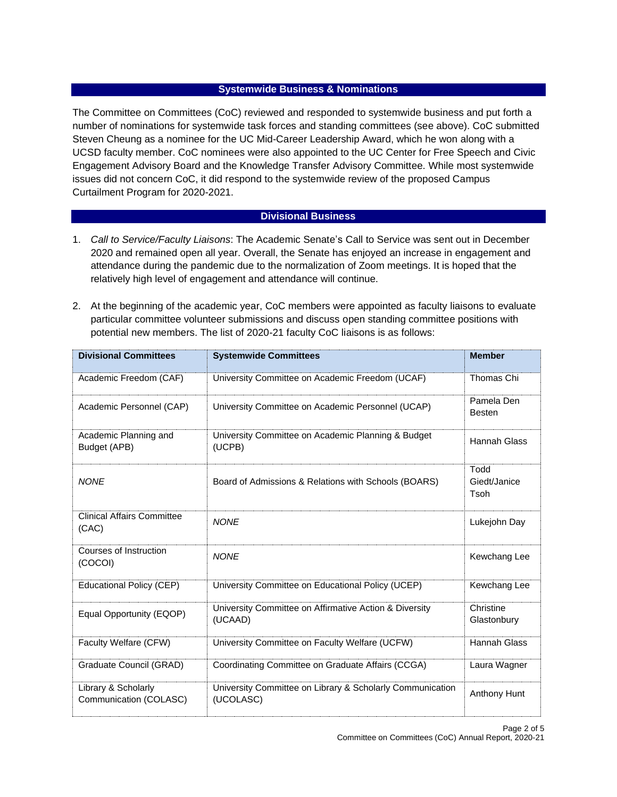### **Systemwide Business & Nominations**

The Committee on Committees (CoC) reviewed and responded to systemwide business and put forth a number of nominations for systemwide task forces and standing committees (see above). CoC submitted Steven Cheung as a nominee for the UC Mid-Career Leadership Award, which he won along with a UCSD faculty member. CoC nominees were also appointed to the UC Center for Free Speech and Civic Engagement Advisory Board and the Knowledge Transfer Advisory Committee. While most systemwide issues did not concern CoC, it did respond to the systemwide review of the proposed Campus Curtailment Program for 2020-2021.

### **Divisional Business**

- 1. *Call to Service/Faculty Liaisons*: The Academic Senate's Call to Service was sent out in December 2020 and remained open all year. Overall, the Senate has enjoyed an increase in engagement and attendance during the pandemic due to the normalization of Zoom meetings. It is hoped that the relatively high level of engagement and attendance will continue.
- 2. At the beginning of the academic year, CoC members were appointed as faculty liaisons to evaluate particular committee volunteer submissions and discuss open standing committee positions with potential new members. The list of 2020-21 faculty CoC liaisons is as follows:

| <b>Divisional Committees</b>                  | <b>Systemwide Committees</b>                                           | <b>Member</b>                |
|-----------------------------------------------|------------------------------------------------------------------------|------------------------------|
| Academic Freedom (CAF)                        | University Committee on Academic Freedom (UCAF)                        | Thomas Chi                   |
| Academic Personnel (CAP)                      | University Committee on Academic Personnel (UCAP)                      | Pamela Den<br><b>Besten</b>  |
| Academic Planning and<br>Budget (APB)         | University Committee on Academic Planning & Budget<br>(UCPB)           | Hannah Glass                 |
| <b>NONE</b>                                   | Board of Admissions & Relations with Schools (BOARS)                   | Todd<br>Giedt/Janice<br>Tsoh |
| <b>Clinical Affairs Committee</b><br>(CAC)    | <b>NONE</b>                                                            | Lukejohn Day                 |
| Courses of Instruction<br>(COCOI)             | <b>NONE</b>                                                            | Kewchang Lee                 |
| <b>Educational Policy (CEP)</b>               | University Committee on Educational Policy (UCEP)                      | Kewchang Lee                 |
| Equal Opportunity (EQOP)                      | University Committee on Affirmative Action & Diversity<br>(UCAAD)      | Christine<br>Glastonbury     |
| Faculty Welfare (CFW)                         | University Committee on Faculty Welfare (UCFW)                         | <b>Hannah Glass</b>          |
| Graduate Council (GRAD)                       | Coordinating Committee on Graduate Affairs (CCGA)                      | Laura Wagner                 |
| Library & Scholarly<br>Communication (COLASC) | University Committee on Library & Scholarly Communication<br>(UCOLASC) | Anthony Hunt                 |

Page 2 of 5 Committee on Committees (CoC) Annual Report, 2020-21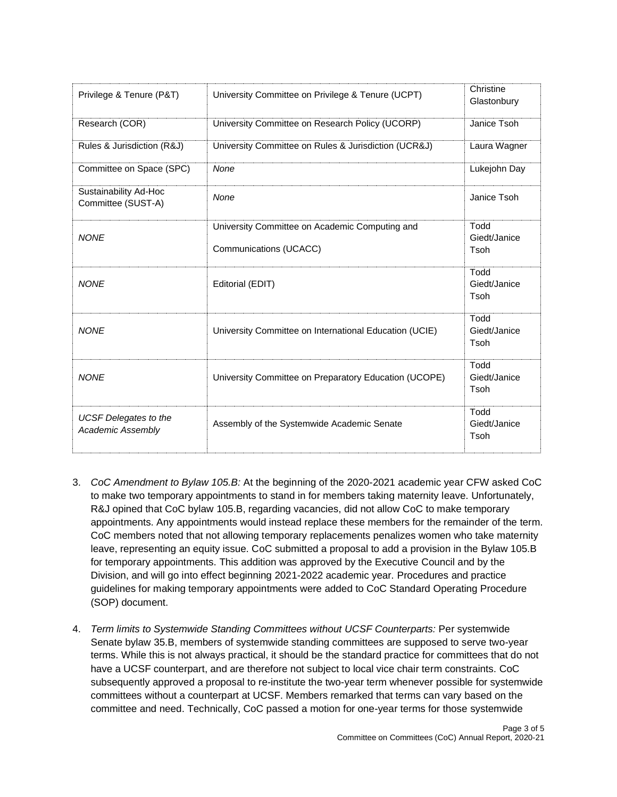| Privilege & Tenure (P&T)                                 | University Committee on Privilege & Tenure (UCPT)                        | Christine<br>Glastonbury     |
|----------------------------------------------------------|--------------------------------------------------------------------------|------------------------------|
| Research (COR)                                           | University Committee on Research Policy (UCORP)                          | Janice Tsoh                  |
| Rules & Jurisdiction (R&J)                               | University Committee on Rules & Jurisdiction (UCR&J)                     | Laura Wagner                 |
| Committee on Space (SPC)                                 | None                                                                     | Lukejohn Day                 |
| Sustainability Ad-Hoc<br>Committee (SUST-A)              | None                                                                     | Janice Tsoh                  |
| <b>NONE</b>                                              | University Committee on Academic Computing and<br>Communications (UCACC) | Todd<br>Giedt/Janice<br>Tsoh |
| <b>NONE</b>                                              | Editorial (EDIT)                                                         | Todd<br>Giedt/Janice<br>Tsoh |
| <b>NONE</b>                                              | University Committee on International Education (UCIE)                   | Todd<br>Giedt/Janice<br>Tsoh |
| <b>NONF</b>                                              | University Committee on Preparatory Education (UCOPE)                    | Todd<br>Giedt/Janice<br>Tsoh |
| <b>UCSF</b> Delegates to the<br><b>Academic Assembly</b> | Assembly of the Systemwide Academic Senate                               | Todd<br>Giedt/Janice<br>Tsoh |

- 3. *CoC Amendment to Bylaw 105.B:* At the beginning of the 2020-2021 academic year CFW asked CoC to make two temporary appointments to stand in for members taking maternity leave. Unfortunately, R&J opined that CoC bylaw 105.B, regarding vacancies, did not allow CoC to make temporary appointments. Any appointments would instead replace these members for the remainder of the term. CoC members noted that not allowing temporary replacements penalizes women who take maternity leave, representing an equity issue. CoC submitted a proposal to add a provision in the Bylaw 105.B for temporary appointments. This addition was approved by the Executive Council and by the Division, and will go into effect beginning 2021-2022 academic year. Procedures and practice guidelines for making temporary appointments were added to CoC Standard Operating Procedure (SOP) document.
- 4. *Term limits to Systemwide Standing Committees without UCSF Counterparts:* Per systemwide Senate bylaw 35.B, members of systemwide standing committees are supposed to serve two-year terms. While this is not always practical, it should be the standard practice for committees that do not have a UCSF counterpart, and are therefore not subject to local vice chair term constraints. CoC subsequently approved a proposal to re-institute the two-year term whenever possible for systemwide committees without a counterpart at UCSF. Members remarked that terms can vary based on the committee and need. Technically, CoC passed a motion for one-year terms for those systemwide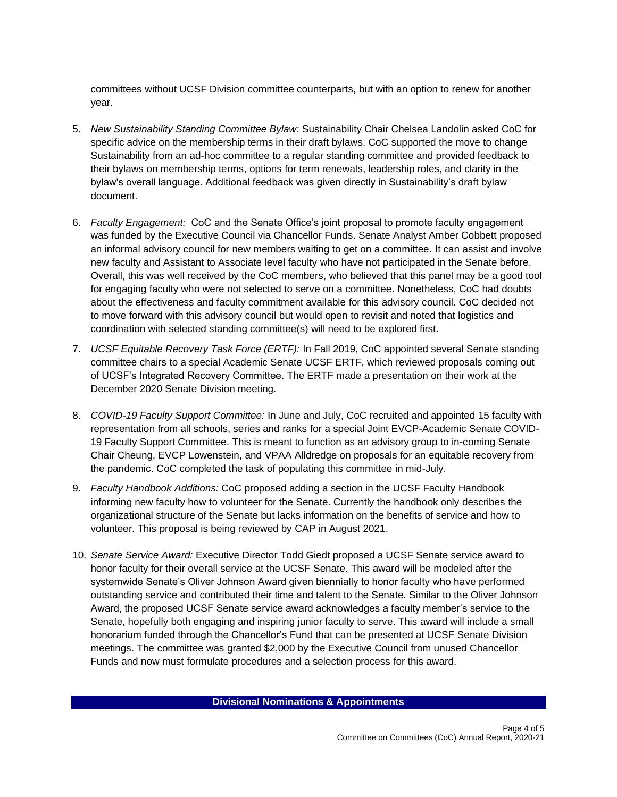committees without UCSF Division committee counterparts, but with an option to renew for another year.

- 5. *New Sustainability Standing Committee Bylaw:* Sustainability Chair Chelsea Landolin asked CoC for specific advice on the membership terms in their draft bylaws. CoC supported the move to change Sustainability from an ad-hoc committee to a regular standing committee and provided feedback to their bylaws on membership terms, options for term renewals, leadership roles, and clarity in the bylaw's overall language. Additional feedback was given directly in Sustainability's draft bylaw document.
- 6. *Faculty Engagement:* CoC and the Senate Office's joint proposal to promote faculty engagement was funded by the Executive Council via Chancellor Funds. Senate Analyst Amber Cobbett proposed an informal advisory council for new members waiting to get on a committee. It can assist and involve new faculty and Assistant to Associate level faculty who have not participated in the Senate before. Overall, this was well received by the CoC members, who believed that this panel may be a good tool for engaging faculty who were not selected to serve on a committee. Nonetheless, CoC had doubts about the effectiveness and faculty commitment available for this advisory council. CoC decided not to move forward with this advisory council but would open to revisit and noted that logistics and coordination with selected standing committee(s) will need to be explored first.
- 7. *UCSF Equitable Recovery Task Force (ERTF):* In Fall 2019, CoC appointed several Senate standing committee chairs to a special Academic Senate UCSF ERTF, which reviewed proposals coming out of UCSF's Integrated Recovery Committee. The ERTF made a presentation on their work at the December 2020 Senate Division meeting.
- 8. *COVID-19 Faculty Support Committee:* In June and July, CoC recruited and appointed 15 faculty with representation from all schools, series and ranks for a special Joint EVCP-Academic Senate COVID-19 Faculty Support Committee. This is meant to function as an advisory group to in-coming Senate Chair Cheung, EVCP Lowenstein, and VPAA Alldredge on proposals for an equitable recovery from the pandemic. CoC completed the task of populating this committee in mid-July.
- 9. *Faculty Handbook Additions:* CoC proposed adding a section in the UCSF Faculty Handbook informing new faculty how to volunteer for the Senate. Currently the handbook only describes the organizational structure of the Senate but lacks information on the benefits of service and how to volunteer. This proposal is being reviewed by CAP in August 2021.
- 10. *Senate Service Award:* Executive Director Todd Giedt proposed a UCSF Senate service award to honor faculty for their overall service at the UCSF Senate. This award will be modeled after the systemwide Senate's Oliver Johnson Award given biennially to honor faculty who have performed outstanding service and contributed their time and talent to the Senate. Similar to the Oliver Johnson Award, the proposed UCSF Senate service award acknowledges a faculty member's service to the Senate, hopefully both engaging and inspiring junior faculty to serve. This award will include a small honorarium funded through the Chancellor's Fund that can be presented at UCSF Senate Division meetings. The committee was granted \$2,000 by the Executive Council from unused Chancellor Funds and now must formulate procedures and a selection process for this award.

**Divisional Nominations & Appointments**